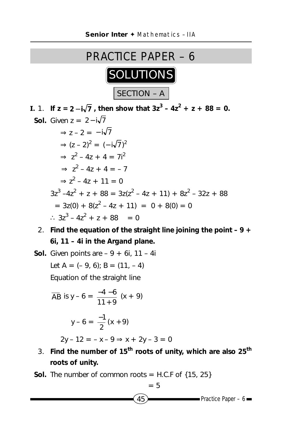

**I.** 1. If  $z = 2 - i\sqrt{7}$ , then show that  $3z^3 - 4z^2 + z + 88 = 0$ . **Sol.** Given  $z = 2 - i\sqrt{7}$  $\Rightarrow$  z – 2 =  $-i\sqrt{7}$  $\Rightarrow$   $(z - 2)^2 = (-i\sqrt{7})^2$  $\Rightarrow$  z<sup>2</sup> - 4z + 4 = 7i<sup>2</sup>  $\Rightarrow$  z<sup>2</sup> - 4z + 4 = -7  $\Rightarrow$   $z^2 - 4z + 11 = 0$  $3z^3 - 4z^2 + z + 88 = 3z(z^2 - 4z + 11) + 8z^2 - 32z + 88$  $= 3z(0) + 8(z^2 - 4z + 11) = 0 + 8(0) = 0$ ∴  $3z^3 - 4z^2 + z + 88 = 0$ 

2. **Find the equation of the straight line joining the point – 9 + 6i, 11 – 4i in the Argand plane.**

**Sol.** Given points are  $-9 + 6i$ , 11 – 4i Let A =  $(-9, 6)$ ; B =  $(11, -4)$ Equation of the straight line

$$
\overline{AB} \text{ is } y - 6 = \frac{-4 - 6}{11 + 9} (x + 9)
$$

$$
y - 6 = \frac{-1}{2}(x + 9)
$$

 $2y - 12 = -x - 9 \Rightarrow x + 2y - 3 = 0$ 

- 3. **Find the number of 15th roots of unity, which are also 25th roots of unity.**
- **Sol.** The number of common roots = H.C.F of  $\{15, 25\}$

$$
= 5
$$

 $45$  Practice Paper – 6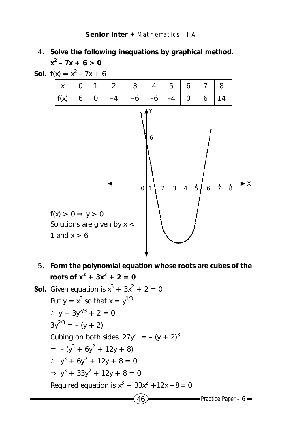## 4. **Solve the following inequations by graphical method.**  $x^2 - 7x + 6 > 0$





5. **Form the polynomial equation whose roots are cubes of the roots of**  $x^3 + 3x^2 + 2 = 0$ 

Sol. Given equation is 
$$
x^3 + 3x^2 + 2 = 0
$$

\nPut  $y = x^3$  so that  $x = y^{1/3}$ 

\n $\therefore y + 3y^{2/3} + 2 = 0$ 

\n $3y^{2/3} = -(y + 2)$ 

\nCubing on both sides,  $27y^2 = -(y + 2)^3$ 

\n $= -(y^3 + 6y^2 + 12y + 8)$ 

\n $\therefore y^3 + 6y^2 + 12y + 8 = 0$ 

\n $\Rightarrow y^3 + 33y^2 + 12y + 8 = 0$ 

\nRequired equation is  $x^3 + 33x^2 + 12x + 8 = 0$ 

\nRequired equation is  $x^3 + 33x^2 + 12x + 8 = 0$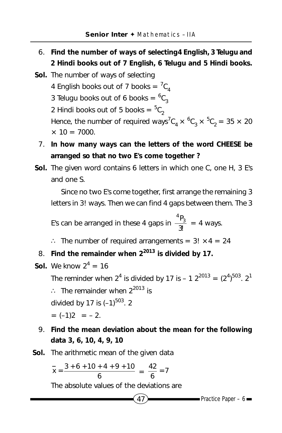- 6. **Find the number of ways of selecting4 English, 3 Telugu and 2 Hindi books out of 7 English, 6 Telugu and 5 Hindi books.**
- **Sol.** The number of ways of selecting 4 English books out of 7 books =  ${}^{7}C_{4}$ 3 Telugu books out of 6 books =  ${}^{6}C_{3}$ 2 Hindi books out of 5 books =  ${}^{5}C_{2}$ Hence, the number of required ways<sup>7</sup>C<sub>4</sub>  $\times$  <sup>6</sup>C<sub>3</sub>  $\times$  <sup>5</sup>C<sub>2</sub> = 35  $\times$  20  $\times$  10 = 7000.
	- 7. **In how many ways can the letters of the word CHEESE be arranged so that no two E's come together ?**
- **Sol.** The given word contains 6 letters in which one C, one H, 3 E's and one S.

Since no two E's come together, first arrange the remaining 3 letters in 3! ways. Then we can find 4 gaps between them. The 3

E's can be arranged in these 4 gaps in  $\frac{{}^{4}P_{3}}{3!}$  $= 4$  ways.

- ∴ The number of required arrangements = 3! × 4 = 24
- 8. **Find the remainder when 22013 is divided by 17.**
- **Sol.** We know  $2^4 = 16$ The reminder when  $2^4$  is divided by 17 is – 1  $2^{2013} = (2^4)^{503}$ .  $2^1$ ∴ The remainder when  $2^{2013}$  is divided by 17 is  $(-1)^{503}$ . 2  $= (-1)2 = -2.$
- 9. **Find the mean deviation about the mean for the following data 3, 6, 10, 4, 9, 10**
- **Sol.** The arithmetic mean of the given data

$$
\frac{1}{x} = \frac{3+6+10+4+9+10}{6} = \frac{42}{6} = 7
$$

The absolute values of the deviations are

$$
47 \rightarrow \longrightarrow
$$
 Practice Paper – 6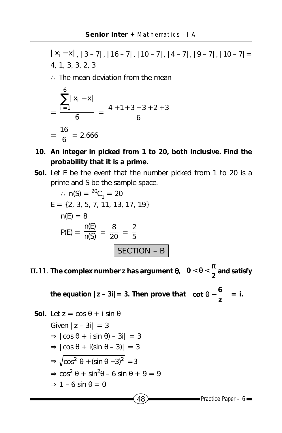$|x_i - \overline{x}|, |3 - 7|, |16 - 7|, |10 - 7|, |4 - 7|, |9 - 7|, |10 - 7|$ 4, 1, 3, 3, 2, 3

∴ The mean deviation from the mean

$$
= \frac{\sum_{i=1}^{6} |x_i - \overline{x}|}{6} = \frac{4 + 1 + 3 + 3 + 2 + 3}{6}
$$

$$
= \frac{16}{6} = 2.666
$$

- **10. An integer in picked from 1 to 20, both inclusive. Find the probability that it is a prime.**
- **Sol.** Let E be the event that the number picked from 1 to 20 is a prime and S be the sample space.

$$
\therefore n(S) = {}^{20}C_1 = 20
$$
  
\nE = {2, 3, 5, 7, 11, 13, 17, 19}  
\n
$$
n(E) = 8
$$
  
\n
$$
P(E) = \frac{n(E)}{n(S)} = \frac{8}{20} = \frac{2}{5}
$$
  
\n**SECTION - B**

**II.11**. The complex number z has argument  $\theta$ ,  $0 < \theta < \frac{\pi}{2}$  and satisfy

the equation  $|z - 3i| = 3$ . Then prove that  $\int$  cot  $\theta - \frac{3}{2}$  $\overline{1}$  $\Big(\cot\theta-\frac{6}{\text{}}\Big)$  $\left(\cot \theta - \frac{6}{z}\right) = i.$ 

 $48$  Practice Paper – 6 **Sol.** Let  $z = \cos \theta + i \sin \theta$ Given  $|z - 3i| = 3$  $\Rightarrow$   $|\cos \theta + i \sin \theta| - 3i| = 3$  $\Rightarrow$   $|\cos \theta + i(\sin \theta - 3)| = 3$  $\Rightarrow \sqrt{\cos^2 \theta + (\sin \theta - 3)^2} = 3$  $\Rightarrow$  cos<sup>2</sup>  $\theta$  + sin<sup>2</sup> $\theta$  – 6 sin  $\theta$  + 9 = 9  $\Rightarrow$  1 – 6 sin  $\theta$  = 0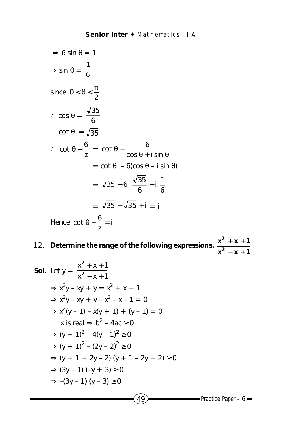$$
\Rightarrow 6 \sin \theta = 1
$$
  
\n
$$
\Rightarrow \sin \theta = \frac{1}{6}
$$
  
\nsince  $0 < \theta < \frac{\pi}{2}$   
\n
$$
\therefore \cos \theta = \frac{\sqrt{35}}{6}
$$
  
\n
$$
\cot \theta = \sqrt{35}
$$
  
\n
$$
\therefore \cot \theta - \frac{6}{2} = \cot \theta - \frac{6}{\cos \theta + i \sin \theta}
$$
  
\n
$$
= \cot \theta - 6(\cos \theta - i \sin \theta)
$$
  
\n
$$
= \sqrt{35} - 6\left[\frac{\sqrt{35}}{6} - i\frac{1}{6}\right]
$$
  
\n
$$
= \sqrt{35} - \sqrt{35} + i = i
$$
  
\nHence  $\cot \theta - \frac{6}{z} = i$ 

12. **Determine the range of the following expressions.**   $x^2 - x + 1$  $x^2 + x + 1$ **2 2**  $- x +$  $+ X +$ 

Sol. Let 
$$
y = \frac{x^2 + x + 1}{x^2 - x + 1}
$$
  
\n⇒  $x^2y - xy + y = x^2 + x + 1$   
\n⇒  $x^2y - xy + y - x^2 - x - 1 = 0$   
\n⇒  $x^2(y - 1) - x(y + 1) + (y - 1) = 0$   
\nx is real ⇒  $b^2 - 4ac \ge 0$   
\n⇒  $(y + 1)^2 - 4(y - 1)^2 \ge 0$   
\n⇒  $(y + 1)^2 - (2y - 2)^2 \ge 0$   
\n⇒  $(y + 1 + 2y - 2) (y + 1 - 2y + 2) \ge 0$   
\n⇒  $(3y - 1) (-y + 3) \ge 0$   
\n⇒  $-(3y - 1) (y - 3) \ge 0$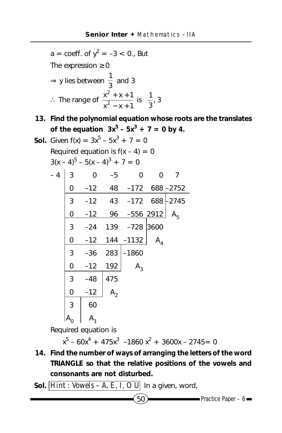a = coeff. of y<sup>2</sup> = -3 < 0., But  
The expression ≥ 0  
\n⇒ y lies between 
$$
\frac{1}{3}
$$
 and 3  
\n∴ The range of  $\frac{x^2 + x + 1}{x^2 - x + 1}$  is  $\left[\frac{1}{3}, 3\right]$ 

**13. Find the polynomial equation whose roots are the translates of the equation**  $3x^5 - 5x^3 + 7 = 0$  by 4.

**Sol.** Given 
$$
f(x) = 3x^5 - 5x^3 + 7 = 0
$$
  
Required equation is  $f(x - 4) = 0$   
 $3(x - 4)^5 - 5(x - 4)^3 + 7 = 0$ 

| - 4 | 3 | 0     | $-5$           | 0                 | 0                  |         |
|-----|---|-------|----------------|-------------------|--------------------|---------|
|     | 0 | $-12$ | 48             |                   | $-172$ 688 $-2752$ |         |
|     | 3 | $-12$ |                | 43 -172 688       |                    | $-2745$ |
|     | 0 | $-12$ | 96             | $-556$ 2912       |                    | $A_{5}$ |
|     | 3 | $-24$ |                | 139 - 728         | 3600               |         |
|     | 0 |       |                | $-12$ 144 $-1132$ | A <sub>4</sub>     |         |
|     | 3 | $-36$ | 283            | -1860             |                    |         |
|     | 0 | $-12$ | 192            | $A_3$             |                    |         |
|     | 3 | $-48$ | 475            |                   |                    |         |
|     | 0 | $-12$ | A <sub>2</sub> |                   |                    |         |
|     | 3 | 60    |                |                   |                    |         |
|     |   |       |                |                   |                    |         |

Required equation is

$$
x^5 - 60x^4 + 475x^3 - 1860x^2 + 3600x - 2745 = 0
$$

- **14. Find the number of ways of arranging the letters of the word TRIANGLE so that the relative positions of the vowels and consonants are not disturbed.**
- Sol.  $\overline{Hint : Vowels A, E, I, O U}$  In a given, word,

$$
\text{Practice Paper} - 6 \blacksquare
$$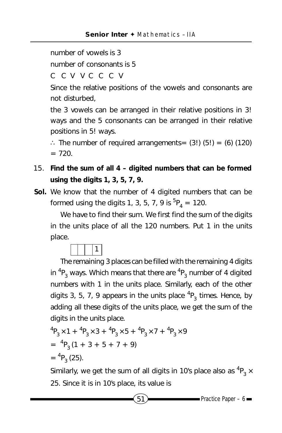number of vowels is 3

number of consonants is 5

C C V V C C C V

Since the relative positions of the vowels and consonants are not disturbed,

the 3 vowels can be arranged in their relative positions in 3! ways and the 5 consonants can be arranged in their relative positions in 5! ways.

∴ The number of required arrangements=  $(3!)$   $(5!) = (6)$   $(120)$  $= 720.$ 

- 15. **Find the sum of all 4 digited numbers that can be formed using the digits 1, 3, 5, 7, 9.**
- **Sol.** We know that the number of 4 digited numbers that can be formed using the digits 1, 3, 5, 7, 9 is  ${}^{5}P_{4} = 120$ .

We have to find their sum. We first find the sum of the digits in the units place of all the 120 numbers. Put 1 in the units place.



The remaining 3 places can be filled with the remaining 4 digits in  ${}^4{\mathsf P}_3$  ways. Which means that there are  ${}^4{\mathsf P}_3$  number of 4 digited numbers with 1 in the units place. Similarly, each of the other digits 3, 5, 7, 9 appears in the units place  $^4\mathsf{P}_3$  times. Hence, by adding all these digits of the units place, we get the sum of the digits in the units place.

$$
{}^{4}P_{3} \times 1 + {}^{4}P_{3} \times 3 + {}^{4}P_{3} \times 5 + {}^{4}P_{3} \times 7 + {}^{4}P_{3} \times 9
$$
  
=  ${}^{4}P_{3} (1 + 3 + 5 + 7 + 9)$   
=  ${}^{4}P_{3} (25)$ .

Similarly, we get the sum of all digits in 10's place also as  $^4\mathsf{P}_3\times$ 25. Since it is in 10's place, its value is

 $51$  Practice Paper – 6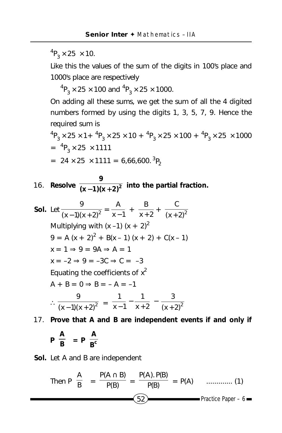${}^{4}P_{3} \times 25 \times 10.$ 

Like this the values of the sum of the digits in 100's place and 1000's place are respectively

 ${}^{4}P_{3} \times 25 \times 100$  and  ${}^{4}P_{3} \times 25 \times 1000$ .

On adding all these sums, we get the sum of all the 4 digited numbers formed by using the digits 1, 3, 5, 7, 9. Hence the required sum is

 ${}^{4}P_{3} \times 25 \times 1 + {}^{4}P_{3} \times 25 \times 10 + {}^{4}P_{3} \times 25 \times 100 + {}^{4}P_{3} \times 25 \times 1000$  $= {}^{4}P_{3} \times 25 \times 1111$ 

$$
= 24 \times 25 \times 1111 = 6,66,600.^{3}P_{2}
$$

**16.** Resolve  $\frac{}{(x-1)(x+2)^2}$ **9**  $\frac{1}{(x+1)(x+2)^2}$  into the partial fraction.

**Sol.** Let  $\frac{9}{(x-1)(x+2)^2} = \frac{A}{x-1} + \frac{B}{x+2}$ B  $\frac{B}{+2} + \frac{C}{(x+2)^2}$ + Multiplying with  $(x -1) (x + 2)^2$  $9 = A (x + 2)^{2} + B(x - 1) (x + 2) + C(x - 1)$  $x = 1 \Rightarrow 9 = 9A \Rightarrow A = 1$  $x = -2 \Rightarrow 9 = -3C \Rightarrow C = -3$ Equating the coefficients of  $x^2$  $A + B = 0 \Rightarrow B = -A = -1$  $\therefore \frac{1}{(x-1)(x+2)^2}$ 9  $\frac{x^2-1(x+2)^2}{-1(x+2)^2} = \frac{x-1}{x+2} - \frac{x^2}{(x+2)^2}$ 3  $x + 2$ 1  $x - 1$  $\frac{1}{-1} - \frac{1}{x+2} - \frac{3}{(x+1)}$ 

17. **Prove that A and B are independent events if and only if**

$$
P\left(\frac{A}{B}\right) = P\left(\frac{A}{B^c}\right)
$$

**Sol.** Let A and B are independent

Then 
$$
P\left(\frac{A}{B}\right) = \frac{P(A \cap B)}{P(B)} = \frac{P(A) \cdot P(B)}{P(B)} = P(A) \quad \dots \dots \dots \dots \tag{1}
$$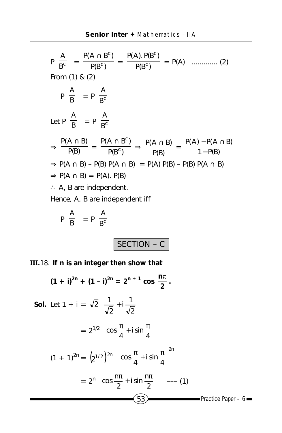P c B A = P(B ) P(A B ) c <sup>c</sup> <sup>∩</sup> = P(B ) P(A). P(B ) c c = P(A) ............. (2) From (1) & (2) P B A = P c B A Let P B A = P c B A <sup>⇒</sup> P(B) P(A ∩ B) = P(B ) P(A B ) c <sup>c</sup> ∩ ⇒ P(B) P(A ∩ B) = 1 P(B) P(A) P(A B) − − ∩ ⇒ P(A ∩ B) – P(B) P(A ∩ B) = P(A) P(B) – P(B) P(A ∩ B) ⇒ P(A ∩ B) = P(A). P(B) ∴ A, B are independent.

Hence, A, B are independent iff

$$
P\left(\frac{A}{B}\right) = P\left(\frac{A}{B^c}\right)
$$

## SECTION – C

**III.**18. **If n is an integer then show that**

$$
(1 + i)^{2n} + (1 - i)^{2n} = 2^{n+1} \cos \frac{n\pi}{2}.
$$
  
\nSol. Let  $1 + i = \sqrt{2} \left( \frac{1}{\sqrt{2}} + i \frac{1}{\sqrt{2}} \right)$   
\n
$$
= 2^{1/2} \left( \cos \frac{\pi}{4} + i \sin \frac{\pi}{4} \right)
$$
  
\n
$$
(1 + 1)^{2n} = (2^{1/2})^{2n} \left( \cos \frac{\pi}{4} + i \sin \frac{\pi}{4} \right)^{2n}
$$
  
\n
$$
= 2^{n} \left( \cos \frac{n\pi}{2} + i \sin \frac{n\pi}{2} \right) \quad --- (1)
$$
  
\nS3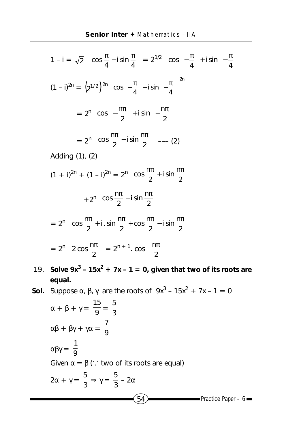$$
1 - i = \sqrt{2} \left( \cos \frac{\pi}{4} - i \sin \frac{\pi}{4} \right) = 2^{1/2} \left( \cos \left( -\frac{\pi}{4} \right) + i \sin \left( -\frac{\pi}{4} \right) \right)
$$
  

$$
(1 - i)^{2n} = \left( 2^{1/2} \right)^{2n} \left( \cos \left( -\frac{\pi}{4} \right) + i \sin \left( -\frac{\pi}{4} \right) \right)^{2n}
$$
  

$$
= 2^{n} \left( \cos \left( -\frac{n\pi}{2} \right) + i \sin \left( -\frac{n\pi}{2} \right) \right)
$$
  

$$
= 2^{n} \left( \cos \frac{n\pi}{2} - i \sin \frac{n\pi}{2} \right) \quad --- (2)
$$
  
Adding (1), (2)

$$
(1 + i)^{2n} + (1 - i)^{2n} = 2^{n} \left( \cos \frac{n\pi}{2} + i \sin \frac{n\pi}{2} \right)
$$

$$
+ 2^{n} \left( \cos \frac{n\pi}{2} - i \sin \frac{n\pi}{2} \right)
$$

$$
= 2^{n} \left( \cos \frac{n\pi}{2} + i \cdot \sin \frac{n\pi}{2} + \cos \frac{n\pi}{2} - i \sin \frac{n\pi}{2} \right)
$$

$$
= 2^{n} \left( 2 \cos \frac{n\pi}{2} \right) = 2^{n+1} \cdot \cos \left( \frac{n\pi}{2} \right)
$$

**19.** Solve  $9x^3 - 15x^2 + 7x - 1 = 0$ , given that two of its roots are **equal.**

**Sol.** Suppose  $\alpha$ ,  $\beta$ ,  $\gamma$  are the roots of  $9x^3 - 15x^2 + 7x - 1 = 0$ 

$$
\alpha + \beta + \gamma = \frac{15}{9} = \frac{5}{3}
$$
  
\n
$$
\alpha\beta + \beta\gamma + \gamma\alpha = \frac{7}{9}
$$
  
\n
$$
\alpha\beta\gamma = \frac{1}{9}
$$
  
\nGiven  $\alpha = \beta$  (: two of its roots are equal)  
\n
$$
2\alpha + \gamma = \frac{5}{3} \Rightarrow \gamma = \frac{5}{3} - 2\alpha
$$
  
\n54  
\nPractice Paper - 6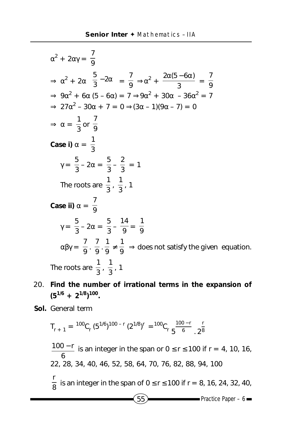$$
\alpha^2 + 2\alpha\gamma = \frac{7}{9}
$$
  
\n
$$
\Rightarrow \alpha^2 + 2\alpha \left(\frac{5}{3} - 2\alpha\right) = \frac{7}{9} \Rightarrow \alpha^2 + \frac{2\alpha(5 - 6\alpha)}{3} = \frac{7}{9}
$$
  
\n
$$
\Rightarrow 9\alpha^2 + 6\alpha (5 - 6\alpha) = 7 \Rightarrow 9\alpha^2 + 30\alpha - 36\alpha^2 = 7
$$
  
\n
$$
\Rightarrow 27\alpha^2 - 30\alpha + 7 = 0 \Rightarrow (3\alpha - 1)(9\alpha - 7) = 0
$$
  
\n
$$
\Rightarrow \alpha = \frac{1}{3} \text{ or } \frac{7}{9}
$$
  
\nCase i)  $\alpha = \frac{1}{3}$   
\n
$$
\gamma = \frac{5}{3} - 2\alpha = \frac{5}{3} - \frac{2}{3} = 1
$$
  
\nThe roots are  $\frac{1}{3} \cdot \frac{1}{3} \cdot 1$   
\nCase ii)  $\alpha = \frac{7}{9}$   
\n
$$
\gamma = \frac{5}{3} - 2\alpha = \frac{5}{3} - \frac{14}{9} = \frac{1}{9}
$$
  
\n
$$
\alpha\beta\gamma = \frac{7}{9} \cdot \frac{7}{9} \cdot \frac{1}{9} \neq \frac{1}{9} \Rightarrow \text{does not satisfy the given equation.}
$$
  
\nThe roots are  $\frac{1}{3} \cdot \frac{1}{3} \cdot 1$ 

- 20. **Find the number of irrational terms in the expansion of (51/6 + 21/8) 100.**
- **Sol.** General term

$$
T_{r+1} = {}^{100}C_r (5^{1/6})^{100-r} (2^{1/8})^r = {}^{100}C_r \frac{100-r}{5} . 2^{\frac{r}{8}}
$$

 $\overline{55}$  Practice Paper – 6 6  $\frac{100-r}{r}$  is an integer in the span or 0 ≤ r ≤ 100 if r = 4, 10, 16, 22, 28, 34, 40, 46, 52, 58, 64, 70, 76, 82, 88, 94, 100 8 <mark>r</mark><br><sub>o</sub> is an integer in the span of 0 ≤ r ≤ 100 if r = 8, 16, 24, 32, 40,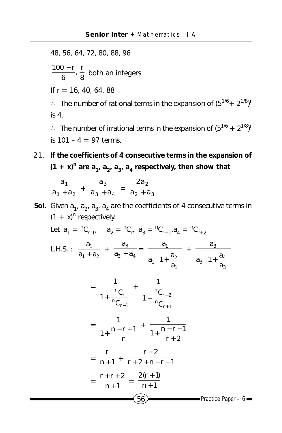48, 56, 64, 72, 80, 88, 96  $\frac{100-r}{6}$ ,  $\frac{r}{8}$  both an integers

If  $r = 16, 40, 64, 88$ 

∴ The number of rational terms in the expansion of  $(5^{1/6} + 2^{1/8})^r$ is 4.

∴ The number of irrational terms in the expansion of  $(5^{1/6} + 2^{1/8})^r$ is  $101 - 4 = 97$  terms.

21. **If the coefficients of 4 consecutive terms in the expansion of**  $(1 + x)^n$  are  $a_1$ ,  $a_2$ ,  $a_3$ ,  $a_4$  respectively, then show that

$$
\frac{a_1}{a_1 + a_2} + \frac{a_3}{a_3 + a_4} = \frac{2a_2}{a_2 + a_3}
$$

**Sol.** Given  $a_1$ ,  $a_2$ ,  $a_3$ ,  $a_4$  are the coefficients of 4 consecutive terms in  $(1 + x)^n$  respectively.

Let 
$$
a_1 = {}^nC_{r-1}
$$
,  $a_2 = {}^nC_{r}$ ,  $a_3 = {}^nC_{r+1}$ ,  $a_4 = {}^nC_{r+2}$   
\nL.H.S. :  $\frac{a_1}{a_1 + a_2} + \frac{a_3}{a_3 + a_4} = \frac{a_1}{a_1 \left(1 + \frac{a_2}{a_1}\right)} + \frac{a_3}{a_3 \left(1 + \frac{a_4}{a_3}\right)}$   
\n
$$
= \frac{1}{1 + \frac{{}^nC_r}{{}^nC_{r-1}}} + \frac{1}{1 + \frac{{}^nC_{r+2}}{{}^nC_{r+1}}}
$$
\n
$$
= \frac{1}{1 + \frac{{}^n - r + 1}{r} + \frac{1}{1 + \frac{{}^n - r - 1}{r + 2}}
$$
\n
$$
= \frac{r}{n+1} + \frac{r+2}{r+2+n-r-1}
$$
\n
$$
= \frac{r + r + 2}{n+1} = \frac{2(r+1)}{n+1}
$$
\nPractice Paper - 6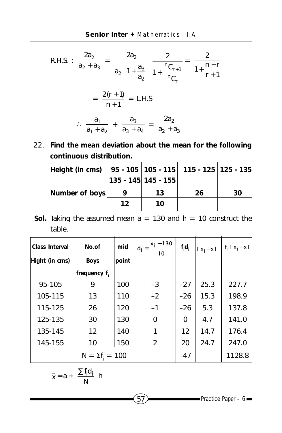R.H.S. : 
$$
\frac{2a_2}{a_2 + a_3} = \frac{2a_2}{a_2 \left(1 + \frac{a_3}{a_2}\right)} \frac{2}{1 + \frac{nC_{r+1}}{nC_r}} = \frac{2}{1 + \frac{n-r}{r+1}}
$$

$$
= \frac{2(r+1)}{n+1} = L.H.S
$$

$$
\therefore \frac{a_1}{a_1 + a_2} + \frac{a_3}{a_3 + a_4} = \frac{2a_2}{a_2 + a_3}
$$

22. **Find the mean deviation about the mean for the following continuous distribution.**

| Height (in cms) |    |                     | $\vert$ 95 - 105 $\vert$ 105 - 115 $\vert$ 115 - 125 $\vert$ 125 - 135 |    |
|-----------------|----|---------------------|------------------------------------------------------------------------|----|
|                 |    | 135 - 145 145 - 155 |                                                                        |    |
| Number of boys  |    | 13                  | 26                                                                     | 30 |
|                 | 12 | 10                  |                                                                        |    |

**Sol.** Taking the assumed mean  $a = 130$  and  $h = 10$  construct the table.

| Class Interval | No.of                  | mid   | $x_i - 130$<br>$d_i =$<br>10 | $f_i d_i$ | $ x_i - \overline{x} $ | $f_i   x_i - \overline{x}  $ |
|----------------|------------------------|-------|------------------------------|-----------|------------------------|------------------------------|
| Hight (in cms) | <b>Boys</b>            | point |                              |           |                        |                              |
|                | frequency $f_i$        |       |                              |           |                        |                              |
| 95-105         | 9                      | 100   | $-3$                         | $-27$     | 25.3                   | 227.7                        |
| 105-115        | 13                     | 110   | $-2$                         | $-26$     | 15.3                   | 198.9                        |
| 115-125        | 26                     | 120   | $-1$                         | $-26$     | 5.3                    | 137.8                        |
| 125-135        | 30                     | 130   | 0                            | 0         | 4.7                    | 141.0                        |
| 135-145        | 12                     | 140   | 1                            | 12        | 14.7                   | 176.4                        |
| 145-155        | 10                     | 150   | 2                            | 20        | 24.7                   | 247.0                        |
|                | $N = \Sigma f_i = 100$ |       |                              | $-47$     |                        | 1128.8                       |

$$
\overline{x} = a + \left(\frac{\sum f_i d_i}{N}\right) h
$$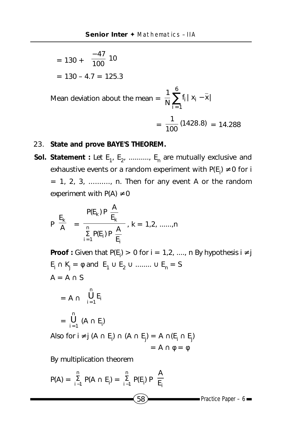$$
= 130 + \left(\frac{-47}{100}\right)10
$$

$$
= 130 - 4.7 = 125.3
$$

Mean deviation about the mean =  $\frac{1}{N}\sum_{i=1}^{N} f_i |x_i - \overline{x}|$ i 6  $\sum_{i=1}^{ } f_i | x_i -$ 

$$
=\frac{1}{100}(1428.8) = 14.288
$$

## 23. **State and prove BAYE'S THEOREM.**

**Sol. Statement** : Let  $E_1$ ,  $E_2$ , .........,  $E_n$  are mutually exclusive and exhaustive events or a random experiment with P(E<sub>i</sub>)  $\neq$  0 for i  $= 1, 2, 3, \ldots$ , n. Then for any event A or the random experiment with  $P(A) \neq 0$ 

$$
P\left(\frac{E_k}{A}\right) = \frac{P(E_k) P\left(\frac{A}{E_k}\right)}{\sum\limits_{i=1}^{n} P(E_i) P\left(\frac{A}{E_i}\right)}, k = 1, 2, \dots, n
$$

**Proof** : Given that P(E<sub>i</sub>) > 0 for i = 1,2, ...., n By hypothesis i ≠ j  $E_i \cap K_j = \emptyset$  and  $E_1 \cup E_2 \cup \dots \dots \cup E_n = S$  $A = A \cap S$  $= A \cap \bigcup_{i=1}^{n} E_i$  $\overline{1}$  $\lambda$  $\overline{\phantom{a}}$ l ſ  $=$  1  $-$ i n  $\bigcup_{i=1}$  E = n  $\bigcup_{i=1}$   $(A \cap E_i)$ 

Also for i ≠ j (A  $\cap$  E<sub>i</sub>)  $\cap$  (A  $\cap$  E<sub>j</sub>) = A  $\cap$ (E<sub>i</sub>  $\cap$  E<sub>j</sub>)  $= A \cap \phi = \phi$ 

By multiplication theorem

$$
P(A) = \sum_{i=1}^{n} P(A \cap E_i) = \sum_{i=1}^{n} P(E_i) P\left(\frac{A}{E_i}\right)
$$
  
(58) Practice Paper - 6